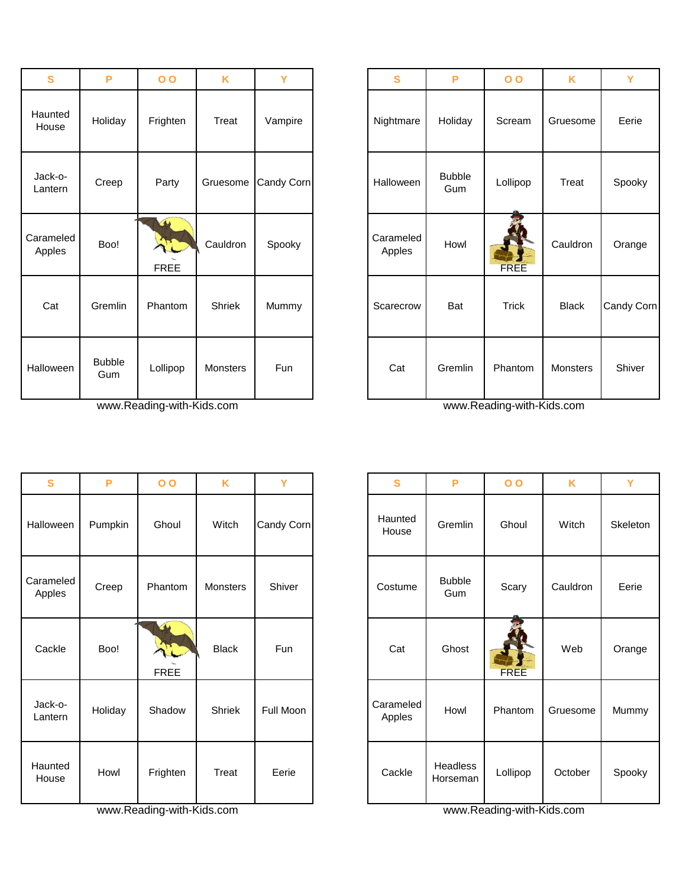| S                   | P                    | $\overline{O}$                         | K        | Ÿ          | $\mathbf{s}$        | P                    | $\overline{O}$ | K            | Y       |
|---------------------|----------------------|----------------------------------------|----------|------------|---------------------|----------------------|----------------|--------------|---------|
| Haunted<br>House    | Holiday              | Frighten                               | Treat    | Vampire    | Nightmare           | Holiday              | Scream         | Gruesome     | Eerie   |
| Jack-o-<br>Lantern  | Creep                | Party                                  | Gruesome | Candy Corn | Halloween           | <b>Bubble</b><br>Gum | Lollipop       | Treat        | Spook   |
| Carameled<br>Apples | Boo!                 | $\overline{\mathbf{A}}$<br><b>FREE</b> | Cauldron | Spooky     | Carameled<br>Apples | Howl                 | <b>FREE</b>    | Cauldron     | Orang   |
| Cat                 | Gremlin              | Phantom                                | Shriek   | Mummy      | Scarecrow           | Bat                  | <b>Trick</b>   | <b>Black</b> | Candy C |
| <b>Halloween</b>    | <b>Bubble</b><br>Gum | Lollipop                               | Monsters | Fun        | Cat                 | Gremlin              | Phantom        | Monsters     | Shive   |

www.Reading-with-Kids.com www.Reading-with-Kids.com www.Reading-with-Kids.com

| S                   | P       | $\overline{O}$               | K               | Y          | $\mathbf{s}$        | P                           |
|---------------------|---------|------------------------------|-----------------|------------|---------------------|-----------------------------|
| <b>Halloween</b>    | Pumpkin | Ghoul                        | Witch           | Candy Corn | Haunted<br>House    | Gremlin                     |
| Carameled<br>Apples | Creep   | Phantom                      | <b>Monsters</b> | Shiver     | Costume             | <b>Bubble</b><br>Gum        |
| Cackle              | Boo!    | $\rightarrow$<br><b>FREE</b> | <b>Black</b>    | <b>Fun</b> | Cat                 | Ghost                       |
| Jack-o-<br>Lantern  | Holiday | Shadow                       | <b>Shriek</b>   | Full Moon  | Carameled<br>Apples | Howl                        |
| Haunted<br>House    | Howl    | Frighten                     | Treat           | Eerie      | Cackle              | <b>Headless</b><br>Horseman |

www.Reading-with-Kids.com www.Reading-with-Kids.com www.Reading-with-Kids.com

| $\mathbf{s}$     | P                    | $\overline{O}$                    | K        | Ÿ          | S                   | P                    | $\overline{O}$ | K               | Y          |
|------------------|----------------------|-----------------------------------|----------|------------|---------------------|----------------------|----------------|-----------------|------------|
| เunted<br>ouse   | Holiday              | Frighten                          | Treat    | Vampire    | Nightmare           | Holiday              | Scream         | Gruesome        | Eerie      |
| ick-o-<br>ıntern | Creep                | Party                             | Gruesome | Candy Corn | Halloween           | <b>Bubble</b><br>Gum | Lollipop       | Treat           | Spooky     |
| ameled<br>pples  | Boo!                 | $\rightarrow$<br>L<br><b>FREE</b> | Cauldron | Spooky     | Carameled<br>Apples | Howl                 | <b>FREE</b>    | Cauldron        | Orange     |
| Cat              | Gremlin              | Phantom                           | Shriek   | Mummy      | Scarecrow           | Bat                  | <b>Trick</b>   | <b>Black</b>    | Candy Corn |
| loween           | <b>Bubble</b><br>Gum | Lollipop                          | Monsters | Fun        | Cat                 | Gremlin              | Phantom        | <b>Monsters</b> | Shiver     |

| S             | P       | $\overline{O}$                                | K            | Y          | S                   | P                           | $\overline{O}$ | K        | Ÿ        |
|---------------|---------|-----------------------------------------------|--------------|------------|---------------------|-----------------------------|----------------|----------|----------|
| ween          | Pumpkin | Ghoul                                         | Witch        | Candy Corn | Haunted<br>House    | Gremlin                     | Ghoul          | Witch    | Skeleton |
| meled<br>ples | Creep   | Phantom                                       | Monsters     | Shiver     | Costume             | <b>Bubble</b><br>Gum        | Scary          | Cauldron | Eerie    |
| ckle          | Boo!    | $\left( \right)$<br>$\sqrt{7}$<br><b>FREE</b> | <b>Black</b> | Fun        | Cat                 | Ghost                       | <b>FREE</b>    | Web      | Orange   |
| k-o-<br>าtern | Holiday | Shadow                                        | Shriek       | Full Moon  | Carameled<br>Apples | Howl                        | Phantom        | Gruesome | Mummy    |
| ınted<br>use  | Howl    | Frighten                                      | Treat        | Eerie      | Cackle              | <b>Headless</b><br>Horseman | Lollipop       | October  | Spooky   |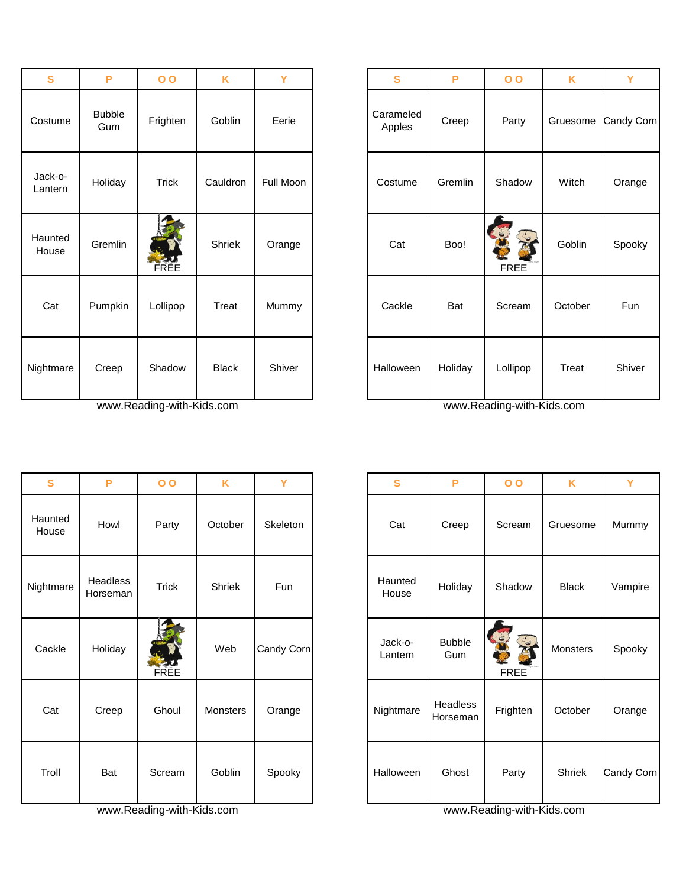| S                  | P                    | 0 <sub>0</sub> | K            | Ÿ         | S                   | P       | 0 <sub>0</sub>               | K        | Y        |
|--------------------|----------------------|----------------|--------------|-----------|---------------------|---------|------------------------------|----------|----------|
| Costume            | <b>Bubble</b><br>Gum | Frighten       | Goblin       | Eerie     | Carameled<br>Apples | Creep   | Party                        | Gruesome | Candy Co |
| Jack-o-<br>Lantern | Holiday              | <b>Trick</b>   | Cauldron     | Full Moon | Costume             | Gremlin | Shadow                       | Witch    | Orange   |
| Haunted<br>House   | Gremlin              | FREE           | Shriek       | Orange    | Cat                 | Boo!    | G<br>EXC<br>C<br><b>FREE</b> | Goblin   | Spook)   |
| Cat                | Pumpkin              | Lollipop       | Treat        | Mummy     | Cackle              | Bat     | Scream                       | October  | Fun      |
| Nightmare          | Creep                | Shadow         | <b>Black</b> | Shiver    | Halloween           | Holiday | Lollipop                     | Treat    | Shiver   |

www.Reading-with-Kids.com www.Reading-with-Kids.com www.Reading-with-Kids.com

| $\mathbf{s}$     | P                    | $\overline{O}$ | K               | Y          | $\mathbf{s}$       | P                           |
|------------------|----------------------|----------------|-----------------|------------|--------------------|-----------------------------|
| Haunted<br>House | Howl                 | Party          | October         | Skeleton   | Cat                | Creep                       |
| Nightmare        | Headless<br>Horseman | <b>Trick</b>   | Shriek          | Fun        | Haunted<br>House   | Holiday                     |
| Cackle           | Holiday              | FREE           | Web             | Candy Corn | Jack-o-<br>Lantern | <b>Bubble</b><br>Gum        |
| Cat              | Creep                | Ghoul          | <b>Monsters</b> | Orange     | Nightmare          | <b>Headless</b><br>Horseman |
| Troll            | Bat                  | Scream         | Goblin          | Spooky     | Halloween          | Ghost                       |

www.Reading-with-Kids.com www.Reading-with-Kids.com www.Reading-with-Kids.com

| $\mathbf{s}$       | P                    | 0 <sub>o</sub> | K            | Y         | S                   | P       | $\overline{O}$        | K        | Ÿ          |
|--------------------|----------------------|----------------|--------------|-----------|---------------------|---------|-----------------------|----------|------------|
| Costume            | <b>Bubble</b><br>Gum | Frighten       | Goblin       | Eerie     | Carameled<br>Apples | Creep   | Party                 | Gruesome | Candy Corn |
| Jack-o-<br>Lantern | Holiday              | <b>Trick</b>   | Cauldron     | Full Moon | Costume             | Gremlin | Shadow                | Witch    | Orange     |
| Haunted<br>House   | Gremlin              | FREE           | Shriek       | Orange    | Cat                 | Boo!    | S<br>J<br><b>FREE</b> | Goblin   | Spooky     |
| Cat                | Pumpkin              | Lollipop       | Treat        | Mummy     | Cackle              | Bat     | Scream                | October  | Fun        |
| ightmare           | Creep                | Shadow         | <b>Black</b> | Shiver    | Halloween           | Holiday | Lollipop              | Treat    | Shiver     |

| S                | P                    | $\overline{O}$ | K               | Y          | $\mathbf{s}$       | P                    | 0 <sub>0</sub>   | K            | Y          |
|------------------|----------------------|----------------|-----------------|------------|--------------------|----------------------|------------------|--------------|------------|
| launted<br>House | Howl                 | Party          | October         | Skeleton   | Cat                | Creep                | Scream           | Gruesome     | Mummy      |
| ghtmare          | Headless<br>Horseman | <b>Trick</b>   | Shriek          | Fun        | Haunted<br>House   | Holiday              | Shadow           | <b>Black</b> | Vampire    |
| Cackle           | Holiday              | FREE           | Web             | Candy Corn | Jack-o-<br>Lantern | <b>Bubble</b><br>Gum | J<br><b>FREE</b> | Monsters     | Spooky     |
| Cat              | Creep                | Ghoul          | <b>Monsters</b> | Orange     | Nightmare          | Headless<br>Horseman | Frighten         | October      | Orange     |
| Troll            | Bat                  | Scream         | Goblin          | Spooky     | Halloween          | Ghost                | Party            | Shriek       | Candy Corn |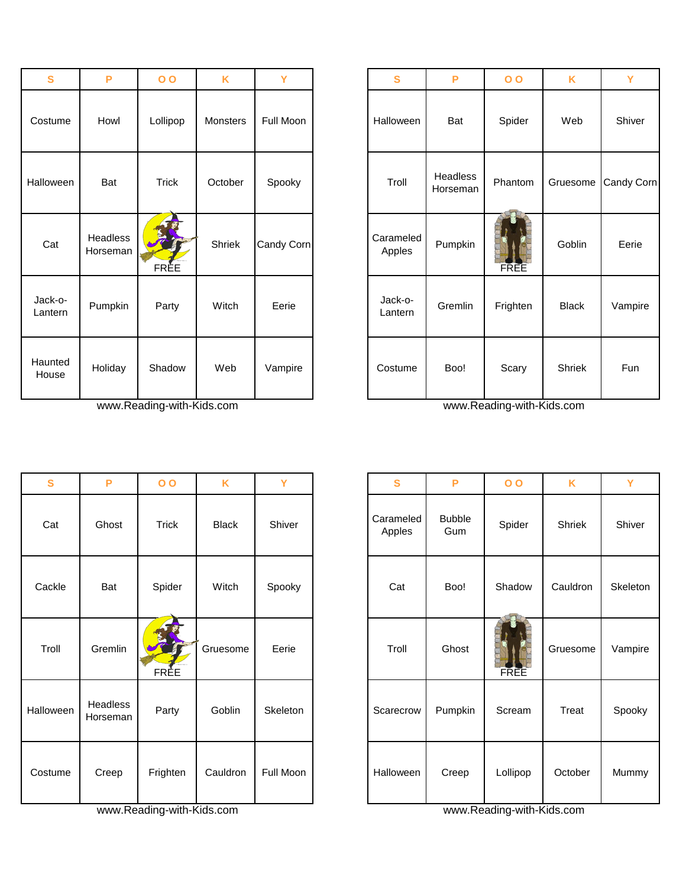| $\mathbf{s}$       | P                    | 0 <sub>0</sub> | K               | Y          | S                   | P                    | $\overline{O}$ | K            | Y        |
|--------------------|----------------------|----------------|-----------------|------------|---------------------|----------------------|----------------|--------------|----------|
| Costume            | Howl                 | Lollipop       | <b>Monsters</b> | Full Moon  | Halloween           | Bat                  | Spider         | Web          | Shiver   |
| Halloween          | Bat                  | <b>Trick</b>   | October         | Spooky     | Troll               | Headless<br>Horseman | Phantom        | Gruesome     | Candy Co |
| Cat                | Headless<br>Horseman | FREE           | Shriek          | Candy Corn | Carameled<br>Apples | Pumpkin              | FREE           | Goblin       | Eerie    |
| Jack-o-<br>Lantern | Pumpkin              | Party          | Witch           | Eerie      | Jack-o-<br>Lantern  | Gremlin              | Frighten       | <b>Black</b> | Vampir   |
| Haunted<br>House   | Holiday              | Shadow         | Web             | Vampire    | Costume             | Boo!                 | Scary          | Shriek       | Fun      |

www.Reading-with-Kids.com www.Reading-with-Kids.com

| S         | P                    | $\overline{O}$ | K            | Y         | S                   | P                    | $\overline{O}$ | K        | Y        |
|-----------|----------------------|----------------|--------------|-----------|---------------------|----------------------|----------------|----------|----------|
| Cat       | Ghost                | <b>Trick</b>   | <b>Black</b> | Shiver    | Carameled<br>Apples | <b>Bubble</b><br>Gum | Spider         | Shriek   | Shiver   |
| Cackle    | Bat                  | Spider         | Witch        | Spooky    | Cat                 | Boo!                 | Shadow         | Cauldron | Skeletor |
| Troll     | Gremlin              | FRÈE           | Gruesome     | Eerie     | Troll               | Ghost                | FREE           | Gruesome | Vampire  |
| Halloween | Headless<br>Horseman | Party          | Goblin       | Skeleton  | Scarecrow           | Pumpkin              | Scream         | Treat    | Spooky   |
| Costume   | Creep                | Frighten       | Cauldron     | Full Moon | Halloween           | Creep                | Lollipop       | October  | Mummy    |

www.Reading-with-Kids.com www.Reading-with-Kids.com

| S             | P                    | 0 <sub>0</sub> | K        | Y          | S                   | P                    | 0 <sub>0</sub> | K             | Y          |
|---------------|----------------------|----------------|----------|------------|---------------------|----------------------|----------------|---------------|------------|
| tume          | Howl                 | Lollipop       | Monsters | Full Moon  | Halloween           | Bat                  | Spider         | Web           | Shiver     |
| ween          | Bat                  | <b>Trick</b>   | October  | Spooky     | Troll               | Headless<br>Horseman | Phantom        | Gruesome      | Candy Corn |
| at,           | Headless<br>Horseman | FRÈE           | Shriek   | Candy Corn | Carameled<br>Apples | Pumpkin              | FREE           | Goblin        | Eerie      |
| k-o-<br>าtern | Pumpkin              | Party          | Witch    | Eerie      | Jack-o-<br>Lantern  | Gremlin              | Frighten       | <b>Black</b>  | Vampire    |
| ınted<br>use  | Holiday              | Shadow         | Web      | Vampire    | Costume             | Boo!                 | Scary          | <b>Shriek</b> | Fun        |

| $\mathbf{s}$ | P                    | 0 <sub>0</sub> | K            | Y         | S                   | P                    | 0 <sub>0</sub> | K        | Y        |
|--------------|----------------------|----------------|--------------|-----------|---------------------|----------------------|----------------|----------|----------|
| Cat          | Ghost                | Trick          | <b>Black</b> | Shiver    | Carameled<br>Apples | <b>Bubble</b><br>Gum | Spider         | Shriek   | Shiver   |
| Cackle       | Bat                  | Spider         | Witch        | Spooky    | Cat                 | Boo!                 | Shadow         | Cauldron | Skeleton |
| Troll        | Gremlin              | FRÈE           | Gruesome     | Eerie     | Troll               | Ghost                | FREE           | Gruesome | Vampire  |
| alloween     | Headless<br>Horseman | Party          | Goblin       | Skeleton  | Scarecrow           | Pumpkin              | Scream         | Treat    | Spooky   |
| costume:     | Creep                | Frighten       | Cauldron     | Full Moon | Halloween           | Creep                | Lollipop       | October  | Mummy    |